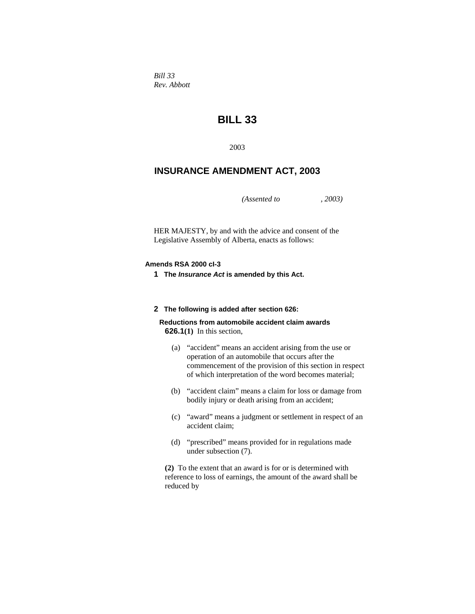*Bill 33 Rev. Abbott* 

# **BILL 33**

2003

# **INSURANCE AMENDMENT ACT, 2003**

*(Assented to , 2003)* 

HER MAJESTY, by and with the advice and consent of the Legislative Assembly of Alberta, enacts as follows:

### **Amends RSA 2000 cI-3**

**1 The** *Insurance Act* **is amended by this Act.** 

#### **2 The following is added after section 626:**

**Reductions from automobile accident claim awards 626.1(1)** In this section,

- (a) "accident" means an accident arising from the use or operation of an automobile that occurs after the commencement of the provision of this section in respect of which interpretation of the word becomes material;
- (b) "accident claim" means a claim for loss or damage from bodily injury or death arising from an accident;
- (c) "award" means a judgment or settlement in respect of an accident claim;
- (d) "prescribed" means provided for in regulations made under subsection (7).

**(2)** To the extent that an award is for or is determined with reference to loss of earnings, the amount of the award shall be reduced by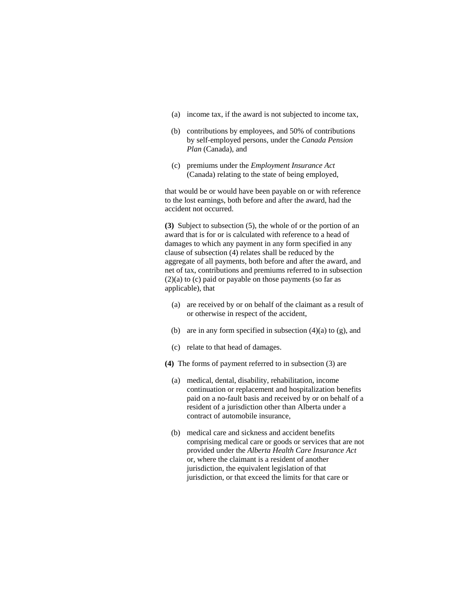- (a) income tax, if the award is not subjected to income tax,
- (b) contributions by employees, and 50% of contributions by self-employed persons, under the *Canada Pension Plan* (Canada), and
- (c) premiums under the *Employment Insurance Act* (Canada) relating to the state of being employed,

that would be or would have been payable on or with reference to the lost earnings, both before and after the award, had the accident not occurred.

**(3)** Subject to subsection (5), the whole of or the portion of an award that is for or is calculated with reference to a head of damages to which any payment in any form specified in any clause of subsection (4) relates shall be reduced by the aggregate of all payments, both before and after the award, and net of tax, contributions and premiums referred to in subsection (2)(a) to (c) paid or payable on those payments (so far as applicable), that

- (a) are received by or on behalf of the claimant as a result of or otherwise in respect of the accident,
- (b) are in any form specified in subsection  $(4)(a)$  to  $(g)$ , and
- (c) relate to that head of damages.
- **(4)** The forms of payment referred to in subsection (3) are
	- (a) medical, dental, disability, rehabilitation, income continuation or replacement and hospitalization benefits paid on a no-fault basis and received by or on behalf of a resident of a jurisdiction other than Alberta under a contract of automobile insurance,
	- (b) medical care and sickness and accident benefits comprising medical care or goods or services that are not provided under the *Alberta Health Care Insurance Act* or, where the claimant is a resident of another jurisdiction, the equivalent legislation of that jurisdiction, or that exceed the limits for that care or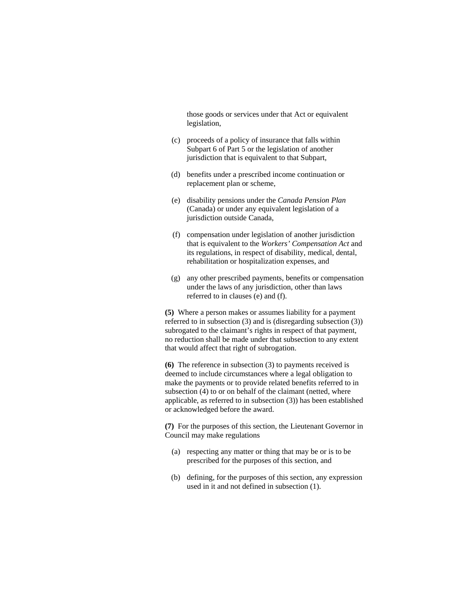those goods or services under that Act or equivalent legislation,

- (c) proceeds of a policy of insurance that falls within Subpart 6 of Part 5 or the legislation of another jurisdiction that is equivalent to that Subpart,
- (d) benefits under a prescribed income continuation or replacement plan or scheme,
- (e) disability pensions under the *Canada Pension Plan* (Canada) or under any equivalent legislation of a jurisdiction outside Canada,
- (f) compensation under legislation of another jurisdiction that is equivalent to the *Workers' Compensation Act* and its regulations, in respect of disability, medical, dental, rehabilitation or hospitalization expenses, and
- (g) any other prescribed payments, benefits or compensation under the laws of any jurisdiction, other than laws referred to in clauses (e) and (f).

**(5)** Where a person makes or assumes liability for a payment referred to in subsection (3) and is (disregarding subsection (3)) subrogated to the claimant's rights in respect of that payment, no reduction shall be made under that subsection to any extent that would affect that right of subrogation.

**(6)** The reference in subsection (3) to payments received is deemed to include circumstances where a legal obligation to make the payments or to provide related benefits referred to in subsection (4) to or on behalf of the claimant (netted, where applicable, as referred to in subsection (3)) has been established or acknowledged before the award.

**(7)** For the purposes of this section, the Lieutenant Governor in Council may make regulations

- (a) respecting any matter or thing that may be or is to be prescribed for the purposes of this section, and
- (b) defining, for the purposes of this section, any expression used in it and not defined in subsection (1).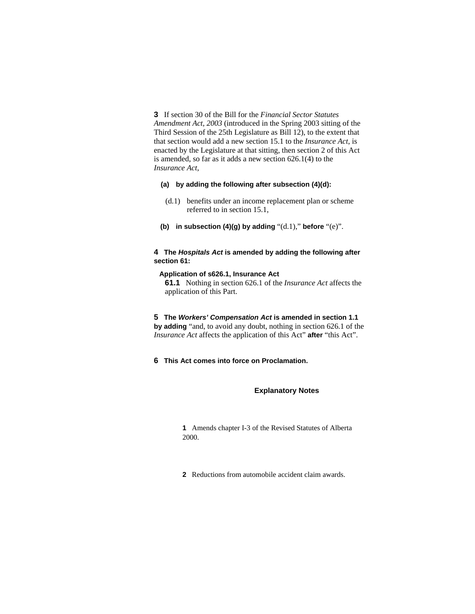**3** If section 30 of the Bill for the *Financial Sector Statutes Amendment Act, 2003* (introduced in the Spring 2003 sitting of the Third Session of the 25th Legislature as Bill 12), to the extent that that section would add a new section 15.1 to the *Insurance Act*, is enacted by the Legislature at that sitting, then section 2 of this Act is amended, so far as it adds a new section 626.1(4) to the *Insurance Act*,

# **(a) by adding the following after subsection (4)(d):**

- (d.1) benefits under an income replacement plan or scheme referred to in section 15.1,
- **(b) in subsection (4)(g) by adding** "(d.1)," **before** "(e)".

# **4 The** *Hospitals Act* **is amended by adding the following after section 61:**

#### **Application of s626.1, Insurance Act**

**61.1** Nothing in section 626.1 of the *Insurance Act* affects the application of this Part.

- **5 The** *Workers' Compensation Act* **is amended in section 1.1 by adding** "and, to avoid any doubt, nothing in section 626.1 of the *Insurance Act* affects the application of this Act" **after** "this Act".
- **6 This Act comes into force on Proclamation.**

#### **Explanatory Notes**

**1** Amends chapter I-3 of the Revised Statutes of Alberta 2000.

**2** Reductions from automobile accident claim awards.